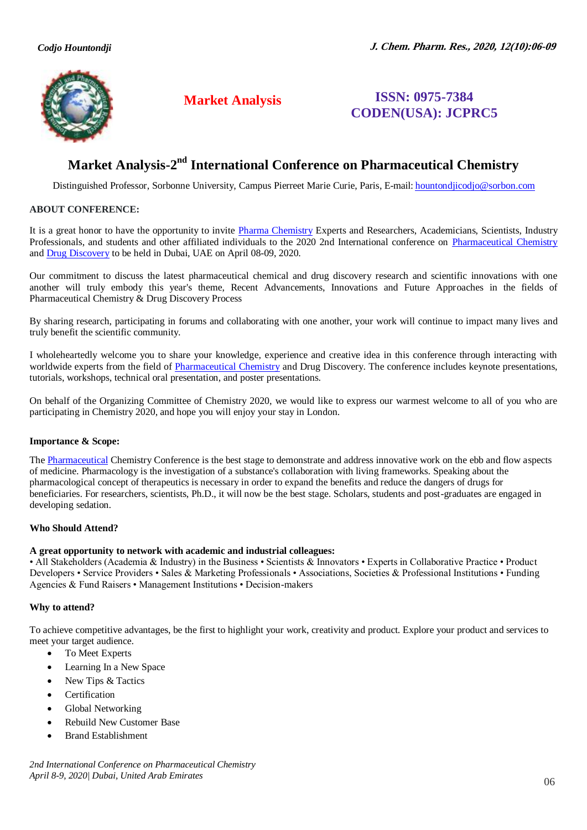

# **Market Analysis ISSN: 0975-7384 CODEN(USA): JCPRC5**

# **Market Analysis-2<sup>nd</sup> International Conference on Pharmaceutical Chemistry**

Distinguished Professor, Sorbonne University, Campus Pierreet Marie Curie, Paris, E-mail[: hountondjicodjo@sorbon.com](mailto:hountondjicodjo@sorbon.com)

#### **ABOUT CONFERENCE:**

It is a great honor to have the opportunity to invite [Pharma Chemistry](https://pharmachemistry.alliedacademies.com/) Experts and Researchers, Academicians, Scientists, Industry Professionals, and students and other affiliated individuals to the 2020 2nd International conference on [Pharmaceutical Chemistry](https://pharmachemistry.alliedacademies.com/) and [Drug Discovery](https://pharmachemistry.alliedacademies.com/) to be held in Dubai, UAE on April 08-09, 2020.

Our commitment to discuss the latest pharmaceutical chemical and drug discovery research and scientific innovations with one another will truly embody this year's theme, Recent Advancements, Innovations and Future Approaches in the fields of Pharmaceutical Chemistry & Drug Discovery Process

By sharing research, participating in forums and collaborating with one another, your work will continue to impact many lives and truly benefit the scientific community.

I wholeheartedly welcome you to share your knowledge, experience and creative idea in this conference through interacting with worldwide experts from the field of [Pharmaceutical Chemistry](https://pharmachemistry.alliedacademies.com/) and Drug Discovery. The conference includes keynote presentations, tutorials, workshops, technical oral presentation, and poster presentations.

On behalf of the Organizing Committee of Chemistry 2020, we would like to express our warmest welcome to all of you who are participating in Chemistry 2020, and hope you will enjoy your stay in London.

# **Importance & Scope:**

The [Pharmaceutical](https://pharmachemistry.alliedacademies.com/) Chemistry Conference is the best stage to demonstrate and address innovative work on the ebb and flow aspects of medicine. Pharmacology is the investigation of a substance's collaboration with living frameworks. Speaking about the pharmacological concept of therapeutics is necessary in order to expand the benefits and reduce the dangers of drugs for beneficiaries. For researchers, scientists, Ph.D., it will now be the best stage. Scholars, students and post-graduates are engaged in developing sedation.

#### **Who Should Attend?**

#### **A great opportunity to network with academic and industrial colleagues:**

• All Stakeholders (Academia & Industry) in the Business • Scientists & Innovators • Experts in Collaborative Practice • Product Developers • Service Providers • Sales & Marketing Professionals • Associations, Societies & Professional Institutions • Funding Agencies & Fund Raisers • Management Institutions • Decision-makers

#### **Why to attend?**

To achieve competitive advantages, be the first to highlight your work, creativity and product. Explore your product and services to meet your target audience.

- To Meet Experts
- Learning In a New Space
- New Tips & Tactics
- Certification
- Global Networking
- Rebuild New Customer Base
- Brand Establishment

*2nd International Conference on Pharmaceutical Chemistry April 8-9, 2020| Dubai, United Arab Emirates*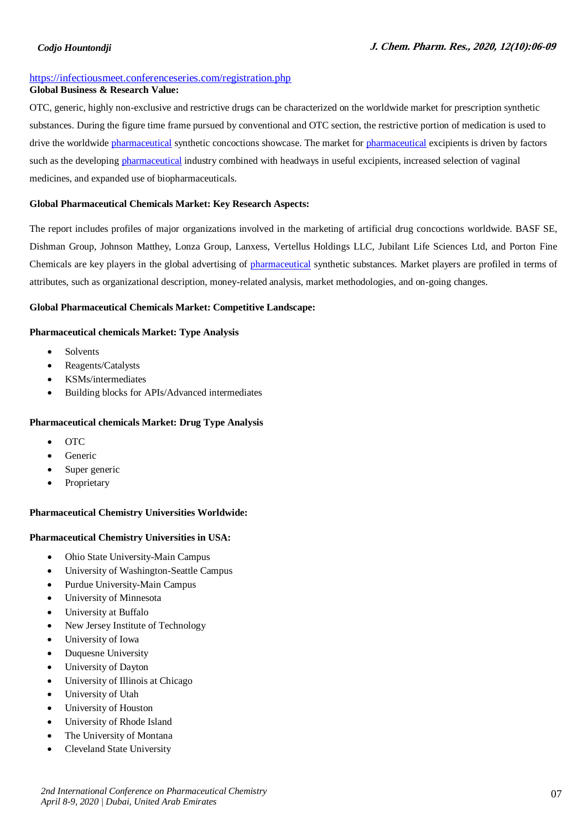### *Codjo Hountondji*

#### https://infectiousmeet.conferenceseries.com/registration.php

# **Global Business & Research Value:**

OTC, generic, highly non-exclusive and restrictive drugs can be characterized on the worldwide market for prescription synthetic substances. During the figure time frame pursued by conventional and OTC section, the restrictive portion of medication is used to drive the worldwide pharmaceutical synthetic concoctions showcase. The market for pharmaceutical excipients is driven by factors such as the developing pharmaceutical industry combined with headways in useful excipients, increased selection of vaginal medicines, and expanded use of biopharmaceuticals.

#### **Global Pharmaceutical Chemicals Market: Key Research Aspects:**

The report includes profiles of major organizations involved in the marketing of artificial drug concoctions worldwide. BASF SE, Dishman Group, Johnson Matthey, Lonza Group, Lanxess, Vertellus Holdings LLC, Jubilant Life Sciences Ltd, and Porton Fine Chemicals are key players in the global advertising of pharmaceutical synthetic substances. Market players are profiled in terms of attributes, such as organizational description, money-related analysis, market methodologies, and on-going changes.

#### **Global Pharmaceutical Chemicals Market: Competitive Landscape:**

#### **Pharmaceutical chemicals Market: Type Analysis**

- Solvents
- Reagents/Catalysts
- KSMs/intermediates
- Building blocks for APIs/Advanced intermediates

#### **Pharmaceutical chemicals Market: Drug Type Analysis**

- OTC
- Generic
- Super generic
- Proprietary

# **Pharmaceutical Chemistry Universities Worldwide:**

# **Pharmaceutical Chemistry Universities in USA:**

- Ohio State University-Main Campus
- University of Washington-Seattle Campus
- Purdue University-Main Campus
- University of Minnesota
- University at Buffalo
- New Jersey Institute of Technology
- University of Iowa
- Duquesne University
- University of Dayton
- University of Illinois at Chicago
- University of Utah
- University of Houston
- University of Rhode Island
- The University of Montana
- Cleveland State University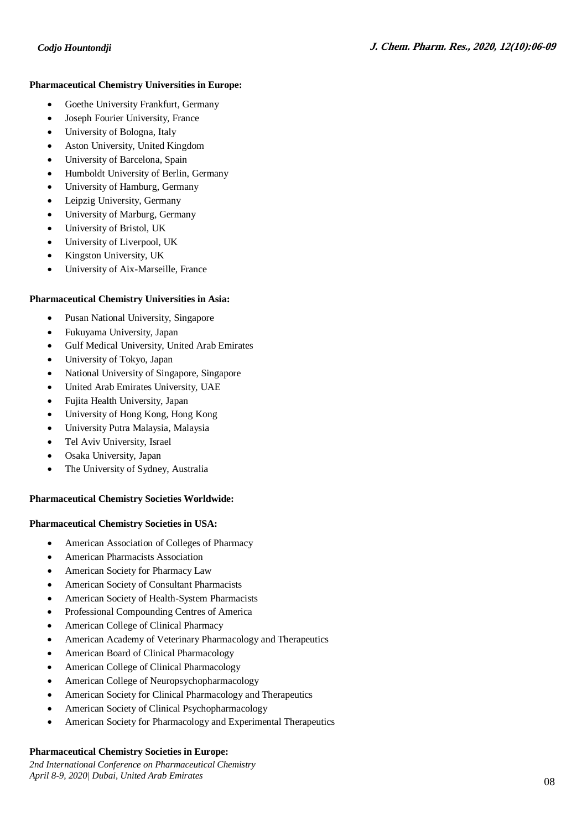#### **Pharmaceutical Chemistry Universities in Europe:**

- Goethe University Frankfurt, Germany
- Joseph Fourier University, France
- University of Bologna, Italy
- Aston University, United Kingdom
- University of Barcelona, Spain
- Humboldt University of Berlin, Germany
- University of Hamburg, Germany
- Leipzig University, Germany
- University of Marburg, Germany
- University of Bristol, UK
- University of Liverpool, UK
- Kingston University, UK
- University of Aix-Marseille, France

# **Pharmaceutical Chemistry Universities in Asia:**

- Pusan National University, Singapore
- Fukuyama University, Japan
- Gulf Medical University, United Arab Emirates
- University of Tokyo, Japan
- National University of Singapore, Singapore
- United Arab Emirates University, UAE
- Fujita Health University, Japan
- University of Hong Kong, Hong Kong
- University Putra Malaysia, Malaysia
- Tel Aviv University, Israel
- Osaka University, Japan
- The University of Sydney, Australia

# **Pharmaceutical Chemistry Societies Worldwide:**

# **Pharmaceutical Chemistry Societies in USA:**

- American Association of Colleges of Pharmacy
- American Pharmacists Association
- American Society for Pharmacy Law
- American Society of Consultant Pharmacists
- American Society of Health-System Pharmacists
- Professional Compounding Centres of America
- American College of Clinical Pharmacy
- American Academy of Veterinary Pharmacology and Therapeutics
- American Board of Clinical Pharmacology
- American College of Clinical Pharmacology
- American College of Neuropsychopharmacology
- American Society for Clinical Pharmacology and Therapeutics
- American Society of Clinical Psychopharmacology
- American Society for Pharmacology and Experimental Therapeutics

# **Pharmaceutical Chemistry Societies in Europe:**

*2nd International Conference on Pharmaceutical Chemistry April 8-9, 2020| Dubai, United Arab Emirates*